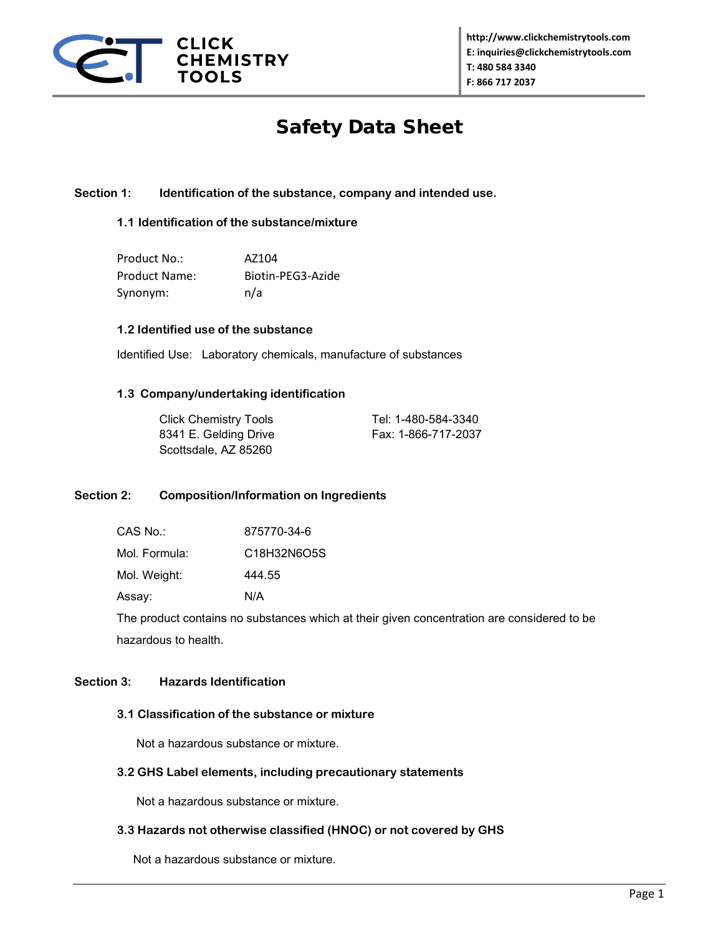

# Safety Data Sheet

## **Section 1: Identification of the substance, company and intended use.**

## **1.1 Identification of the substance/mixture**

| Product No.:  | AZ104             |
|---------------|-------------------|
| Product Name: | Biotin-PEG3-Azide |
| Synonym:      | n/a               |

## **1.2 Identified use of the substance**

Identified Use: Laboratory chemicals, manufacture of substances

#### **1.3 Company/undertaking identification**

| <b>Click Chemistry Tools</b> |
|------------------------------|
| 8341 E. Gelding Drive        |
| Scottsdale, AZ 85260         |

Tel: 1-480-584-3340 Fax: 1-866-717-2037

## **Section 2: Composition/Information on Ingredients**

Mol. Formula: C18H32N6O5S

Mol. Weight: 444.55

Assay: N/A

The product contains no substances which at their given concentration are considered to be hazardous to health.

## **Section 3: Hazards Identification**

## **3.1 Classification of the substance or mixture**

Not a hazardous substance or mixture.

#### **3.2 GHS Label elements, including precautionary statements**

Not a hazardous substance or mixture.

## **3.3 Hazards not otherwise classified (HNOC) or not covered by GHS**

Not a hazardous substance or mixture.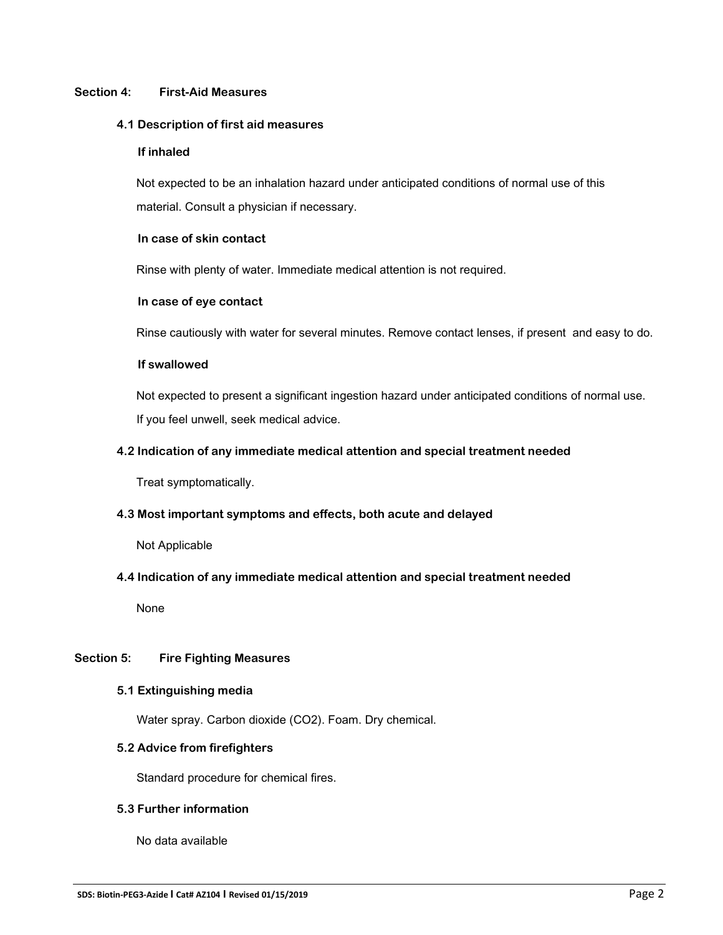## **Section 4: First-Aid Measures**

#### **4.1 Description of first aid measures**

#### **If inhaled**

 Not expected to be an inhalation hazard under anticipated conditions of normal use of this material. Consult a physician if necessary.

## **In case of skin contact**

Rinse with plenty of water. Immediate medical attention is not required.

## **In case of eye contact**

Rinse cautiously with water for several minutes. Remove contact lenses, if present and easy to do.

## **If swallowed**

 Not expected to present a significant ingestion hazard under anticipated conditions of normal use. If you feel unwell, seek medical advice.

## **4.2 Indication of any immediate medical attention and special treatment needed**

Treat symptomatically.

## **4.3 Most important symptoms and effects, both acute and delayed**

Not Applicable

## **4.4 Indication of any immediate medical attention and special treatment needed**

None

## **Section 5: Fire Fighting Measures**

#### **5.1 Extinguishing media**

Water spray. Carbon dioxide (CO2). Foam. Dry chemical.

## **5.2 Advice from firefighters**

Standard procedure for chemical fires.

## **5.3 Further information**

No data available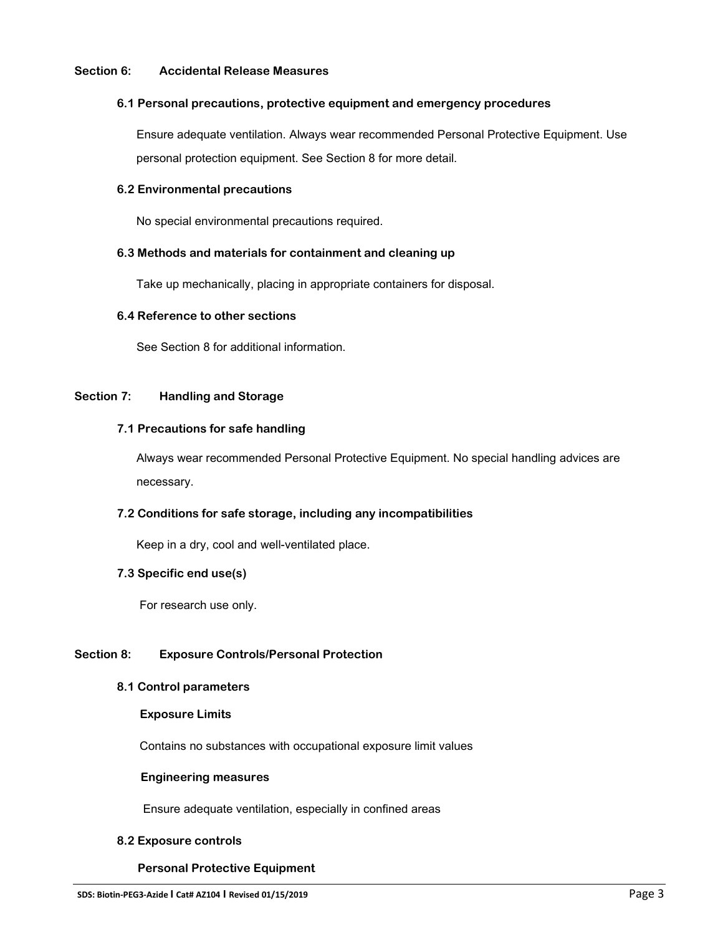#### **Section 6: Accidental Release Measures**

#### **6.1 Personal precautions, protective equipment and emergency procedures**

 Ensure adequate ventilation. Always wear recommended Personal Protective Equipment. Use personal protection equipment. See Section 8 for more detail.

## **6.2 Environmental precautions**

No special environmental precautions required.

## **6.3 Methods and materials for containment and cleaning up**

Take up mechanically, placing in appropriate containers for disposal.

#### **6.4 Reference to other sections**

See Section 8 for additional information.

## **Section 7: Handling and Storage**

## **7.1 Precautions for safe handling**

 Always wear recommended Personal Protective Equipment. No special handling advices are necessary.

## **7.2 Conditions for safe storage, including any incompatibilities**

Keep in a dry, cool and well-ventilated place.

#### **7.3 Specific end use(s)**

For research use only.

## **Section 8: Exposure Controls/Personal Protection**

#### **8.1 Control parameters**

#### **Exposure Limits**

Contains no substances with occupational exposure limit values

#### **Engineering measures**

Ensure adequate ventilation, especially in confined areas

#### **8.2 Exposure controls**

## **Personal Protective Equipment**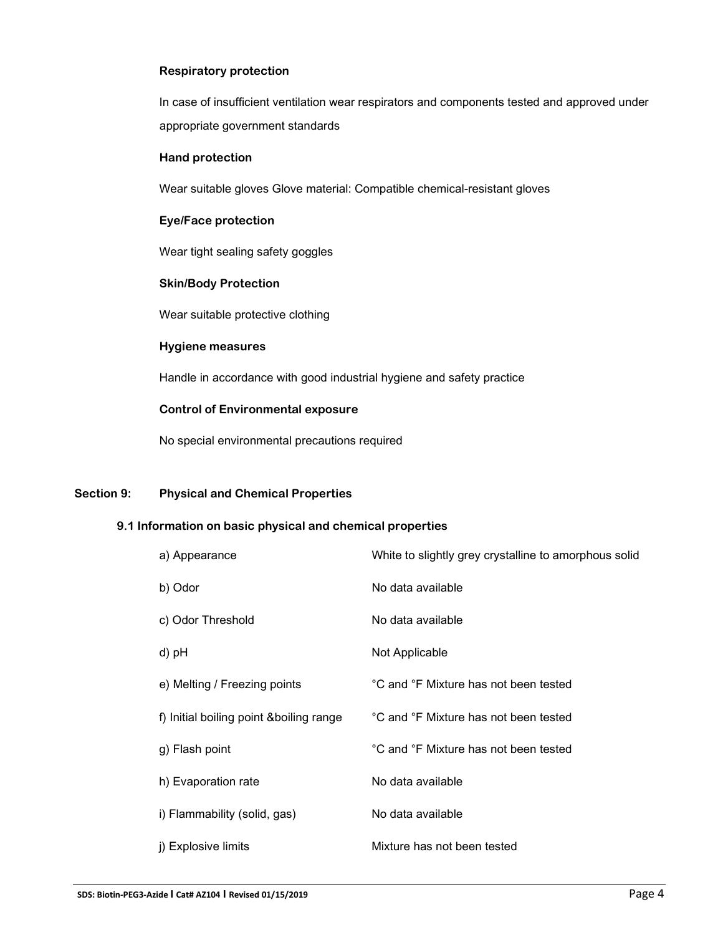## **Respiratory protection**

 In case of insufficient ventilation wear respirators and components tested and approved under appropriate government standards

#### **Hand protection**

Wear suitable gloves Glove material: Compatible chemical-resistant gloves

## **Eye/Face protection**

Wear tight sealing safety goggles

#### **Skin/Body Protection**

Wear suitable protective clothing

#### **Hygiene measures**

Handle in accordance with good industrial hygiene and safety practice

## **Control of Environmental exposure**

No special environmental precautions required

## **Section 9: Physical and Chemical Properties**

## **9.1 Information on basic physical and chemical properties**

| a) Appearance                            | White to slightly grey crystalline to amorphous solid |
|------------------------------------------|-------------------------------------------------------|
| b) Odor                                  | No data available                                     |
| c) Odor Threshold                        | No data available                                     |
| d) pH                                    | Not Applicable                                        |
| e) Melting / Freezing points             | °C and °F Mixture has not been tested                 |
| f) Initial boiling point & boiling range | °C and °F Mixture has not been tested                 |
| g) Flash point                           | °C and °F Mixture has not been tested                 |
| h) Evaporation rate                      | No data available                                     |
| i) Flammability (solid, gas)             | No data available                                     |
| j) Explosive limits                      | Mixture has not been tested                           |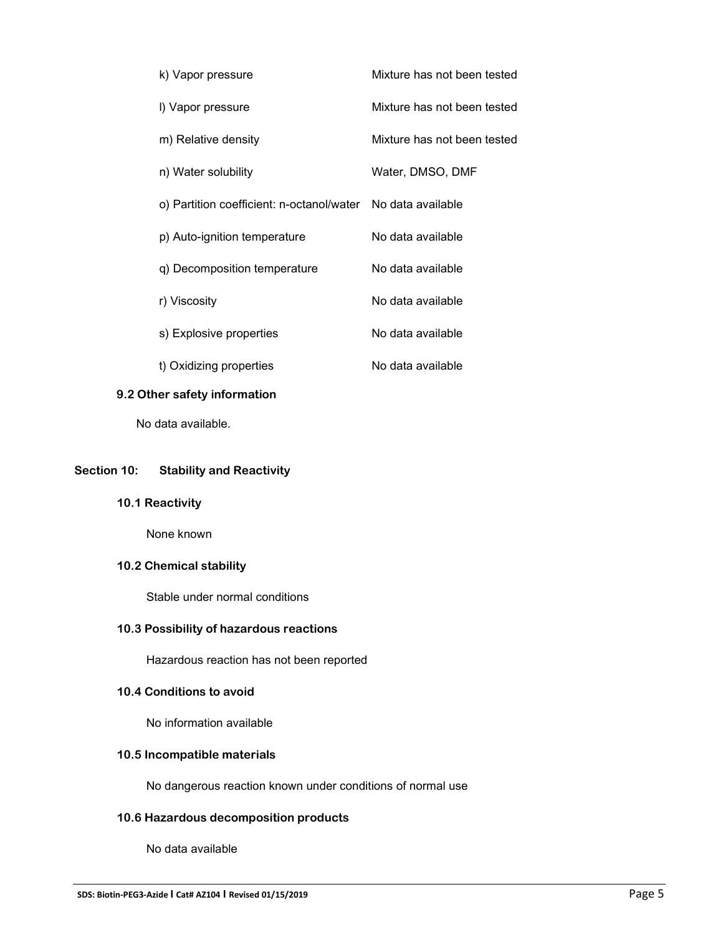| k) Vapor pressure                                           | Mixture has not been tested |
|-------------------------------------------------------------|-----------------------------|
| I) Vapor pressure                                           | Mixture has not been tested |
| m) Relative density                                         | Mixture has not been tested |
| n) Water solubility                                         | Water, DMSO, DMF            |
| o) Partition coefficient: n-octanol/water No data available |                             |
| p) Auto-ignition temperature                                | No data available           |
| q) Decomposition temperature                                | No data available           |
| r) Viscosity                                                | No data available           |
| s) Explosive properties                                     | No data available           |
| t) Oxidizing properties                                     | No data available           |

## **9.2 Other safety information**

No data available.

## **Section 10: Stability and Reactivity**

**10.1 Reactivity**

None known

## **10.2 Chemical stability**

Stable under normal conditions

## **10.3 Possibility of hazardous reactions**

Hazardous reaction has not been reported

## **10.4 Conditions to avoid**

No information available

## **10.5 Incompatible materials**

No dangerous reaction known under conditions of normal use

# **10.6 Hazardous decomposition products**

No data available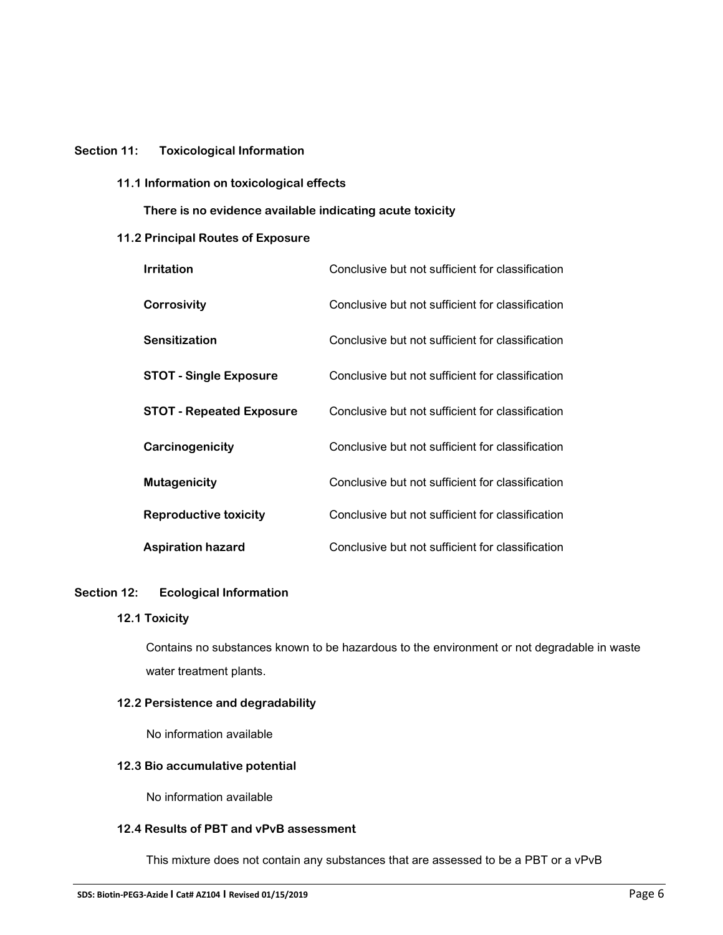## **Section 11: Toxicological Information**

**11.1 Information on toxicological effects**

 **There is no evidence available indicating acute toxicity**

## **11.2 Principal Routes of Exposure**

| <b>Irritation</b>               | Conclusive but not sufficient for classification |
|---------------------------------|--------------------------------------------------|
| <b>Corrosivity</b>              | Conclusive but not sufficient for classification |
| <b>Sensitization</b>            | Conclusive but not sufficient for classification |
| <b>STOT - Single Exposure</b>   | Conclusive but not sufficient for classification |
| <b>STOT - Repeated Exposure</b> | Conclusive but not sufficient for classification |
| Carcinogenicity                 | Conclusive but not sufficient for classification |
| <b>Mutagenicity</b>             | Conclusive but not sufficient for classification |
| <b>Reproductive toxicity</b>    | Conclusive but not sufficient for classification |
| <b>Aspiration hazard</b>        | Conclusive but not sufficient for classification |

#### **Section 12: Ecological Information**

## **12.1 Toxicity**

Contains no substances known to be hazardous to the environment or not degradable in waste water treatment plants.

## **12.2 Persistence and degradability**

No information available

## **12.3 Bio accumulative potential**

No information available

## **12.4 Results of PBT and vPvB assessment**

This mixture does not contain any substances that are assessed to be a PBT or a vPvB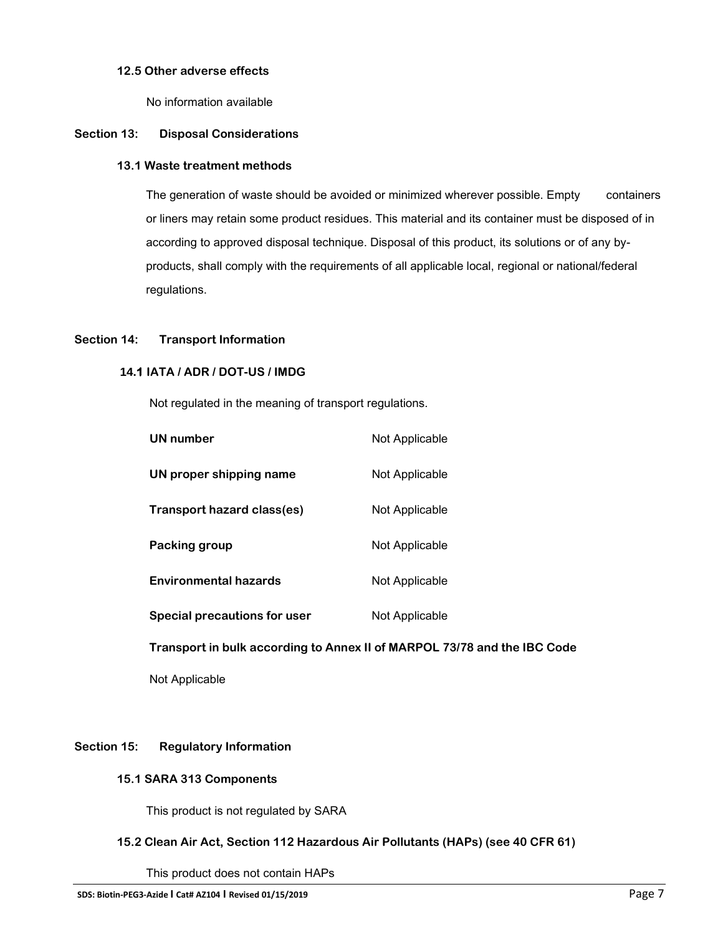## **12.5 Other adverse effects**

No information available

## **Section 13: Disposal Considerations**

#### **13.1 Waste treatment methods**

The generation of waste should be avoided or minimized wherever possible. Empty containers or liners may retain some product residues. This material and its container must be disposed of in according to approved disposal technique. Disposal of this product, its solutions or of any byproducts, shall comply with the requirements of all applicable local, regional or national/federal regulations.

## **Section 14: Transport Information**

## **14.1 IATA / ADR / DOT-US / IMDG**

Not regulated in the meaning of transport regulations.

| Not Applicable |
|----------------|
| Not Applicable |
| Not Applicable |
| Not Applicable |
| Not Applicable |
| Not Applicable |
|                |

 **Transport in bulk according to Annex II of MARPOL 73/78 and the IBC Code**

Not Applicable

## **Section 15: Regulatory Information**

#### **15.1 SARA 313 Components**

This product is not regulated by SARA

## **15.2 Clean Air Act, Section 112 Hazardous Air Pollutants (HAPs) (see 40 CFR 61)**

This product does not contain HAPs